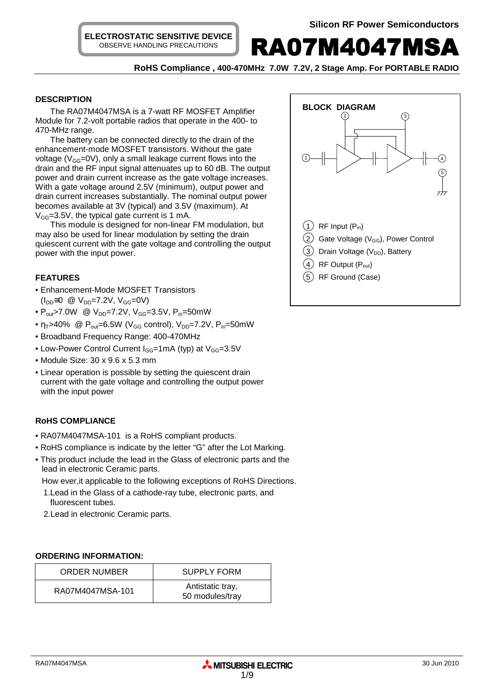**ELECTROSTATIC SENSITIVE DEVICE** OBSERVE HANDLING PRECAUTIONS

**RA07M4047MSA** 

 **RoHS Compliance , 400-470MHz 7.0W 7.2V, 2 Stage Amp. For PORTABLE RADIO** 

## **DESCRIPTION**

The RA07M4047MSA is a 7-watt RF MOSFET Amplifier Module for 7.2-volt portable radios that operate in the 400- to 470-MHz range.

The battery can be connected directly to the drain of the enhancement-mode MOSFET transistors. Without the gate voltage ( $V_{GG}$ =0V), only a small leakage current flows into the drain and the RF input signal attenuates up to 60 dB. The output power and drain current increase as the gate voltage increases. With a gate voltage around 2.5V (minimum), output power and drain current increases substantially. The nominal output power becomes available at 3V (typical) and 3.5V (maximum). At  $V_{GG}$ =3.5V, the typical gate current is 1 mA.

This module is designed for non-linear FM modulation, but may also be used for linear modulation by setting the drain quiescent current with the gate voltage and controlling the output power with the input power.

## **FEATURES**

- Enhancement-Mode MOSFET Transistors  $(I_{DD} \cong 0 \text{ @ } V_{DD} = 7.2V, V_{GG} = 0V)$
- $P_{out}$ >7.0W @  $V_{DD}$ =7.2V,  $V_{GG}$ =3.5V,  $P_{in}$ =50mW
- $\eta_T > 40\%$  @  $P_{out} = 6.5W$  (V<sub>GG</sub> control), V<sub>DD</sub>=7.2V, P<sub>in</sub>=50mW
- Broadband Frequency Range: 400-470MHz
- Low-Power Control Current  $I_{GG}$ =1mA (typ) at  $V_{GG}$ =3.5V
- Module Size: 30 x 9.6 x 5.3 mm
- Linear operation is possible by setting the quiescent drain current with the gate voltage and controlling the output power with the input power

# **RoHS COMPLIANCE**

- RA07M4047MSA-101 is a RoHS compliant products.
- RoHS compliance is indicate by the letter "G" after the Lot Marking.
- This product include the lead in the Glass of electronic parts and the lead in electronic Ceramic parts.

How ever,it applicable to the following exceptions of RoHS Directions.

- 1.Lead in the Glass of a cathode-ray tube, electronic parts, and fluorescent tubes.
- 2.Lead in electronic Ceramic parts.

#### **ORDERING INFORMATION:**

| <b>ORDER NUMBER</b> | <b>SUPPLY FORM</b>                  |
|---------------------|-------------------------------------|
| RA07M4047MSA-101    | Antistatic tray,<br>50 modules/tray |

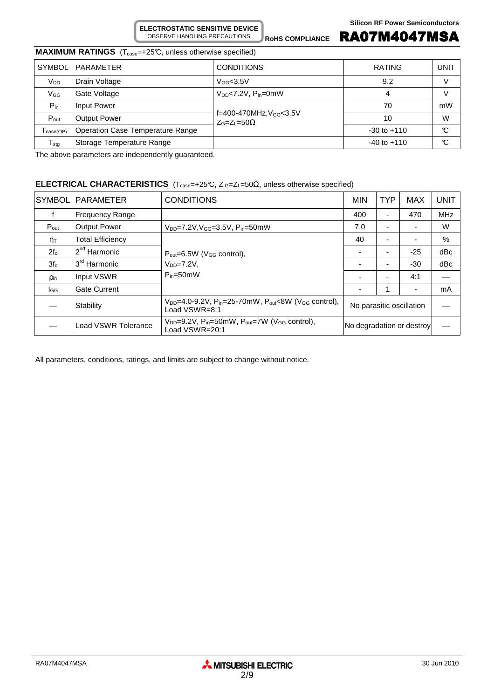**ELECTROSTATIC SENSITIVE DEVICE** OBSERVE HANDLING PRECAUTIONS

**ROHS COMPLIANCE** RA07M4047MSA

# **MAXIMUM RATINGS** (T<sub>case</sub>=+25°C, unless otherwise specified)

| <b>SYMBOL</b>              | PARAMETER                        | <b>CONDITIONS</b>                                           | <b>RATING</b>   | UNIT |
|----------------------------|----------------------------------|-------------------------------------------------------------|-----------------|------|
| V <sub>DD</sub>            | Drain Voltage                    | $V$ <sub>GG</sub> $<$ 3.5V                                  | 9.2             |      |
| Vgg                        | Gate Voltage                     | $V_{DD}$ <7.2V, $P_{in}$ =0mW                               | 4               |      |
| $P_{in}$                   | Input Power                      |                                                             | 70              | mW   |
| $P_{\text{out}}$           | <b>Output Power</b>              | $f = 400 - 470$ MHz, $V_{GG} < 3.5$ V<br>$Z_G=Z_1=50\Omega$ | 10              | W    |
| case(OP)                   | Operation Case Temperature Range |                                                             | $-30$ to $+110$ | C    |
| ${\mathsf T}_{\text{stg}}$ | Storage Temperature Range        |                                                             | $-40$ to $+110$ | C    |

The above parameters are independently guaranteed.

# **ELECTRICAL CHARACTERISTICS** (T<sub>case</sub>=+25℃, Z G=Z<sub>L</sub>=50Ω, unless otherwise specified)

| <b>SYMBOL</b>       | <b>PARAMETER</b>         | <b>CONDITIONS</b>                                                                                              | <b>MIN</b>                | <b>TYP</b> | <b>MAX</b> | <b>UNIT</b> |
|---------------------|--------------------------|----------------------------------------------------------------------------------------------------------------|---------------------------|------------|------------|-------------|
|                     | <b>Frequency Range</b>   |                                                                                                                | 400                       | Ξ.         | 470        | <b>MHz</b>  |
| $P_{\text{out}}$    | <b>Output Power</b>      | $V_{DD} = 7.2 V, V_{GG} = 3.5 V, P_{in} = 50 mW$                                                               | 7.0                       |            |            | W           |
| $\eta_{\mathsf{T}}$ | <b>Total Efficiency</b>  |                                                                                                                | 40                        |            |            | $\%$        |
| $2f_0$              | 2 <sup>nd</sup> Harmonic | $P_{\text{out}} = 6.5W$ (V <sub>GG</sub> control),                                                             |                           |            | $-25$      | dBc         |
| 3f <sub>o</sub>     | 3 <sup>rd</sup> Harmonic | $V_{DD} = 7.2V$<br>$P_{in}=50$ mW                                                                              |                           |            | $-30$      | dBc         |
| <b>Pin</b>          | Input VSWR               |                                                                                                                |                           |            | 4:1        |             |
| lgg                 | <b>Gate Current</b>      |                                                                                                                |                           |            |            | mA          |
|                     | Stability                | $V_{DD}$ =4.0-9.2V, P <sub>in</sub> =25-70mW, P <sub>out</sub> <8W (V <sub>GG</sub> control),<br>Load VSWR=8:1 | No parasitic oscillation  |            |            |             |
|                     | Load VSWR Tolerance      | $V_{DD}$ =9.2V, P <sub>in</sub> =50mW, P <sub>out</sub> =7W (V <sub>GG</sub> control),<br>Load VSWR=20:1       | No degradation or destroy |            |            |             |

All parameters, conditions, ratings, and limits are subject to change without notice.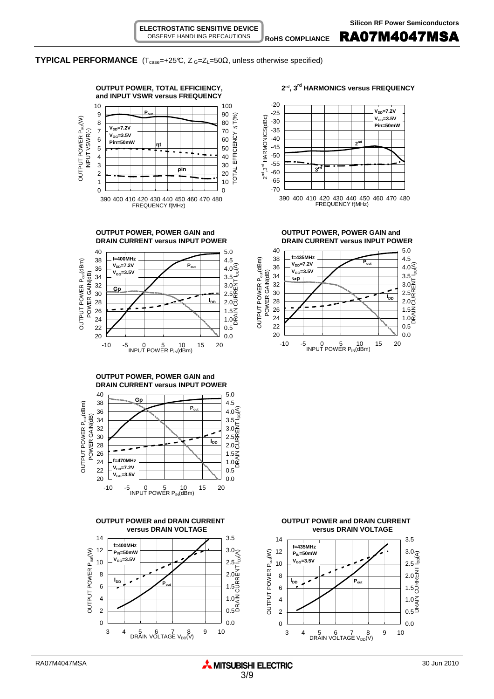ROHS COMPLIANCE **RA07M4047MSA** 

#### **TYPICAL PERFORMANCE** ( $T_{case}$ =+25°C,  $Z_{G}$ = $Z_{L}$ =50 $\Omega$ , unless otherwise specified)













**DRAIN CURRENT versus INPUT POWER DRAIN CURRENT versus INPUT POWER**



**OUTPUT POWER and DRAIN CURRENT OUTPUT POWER and DRAIN CURRENT versus DRAIN VOLTAGE versus DRAIN VOLTAGE**

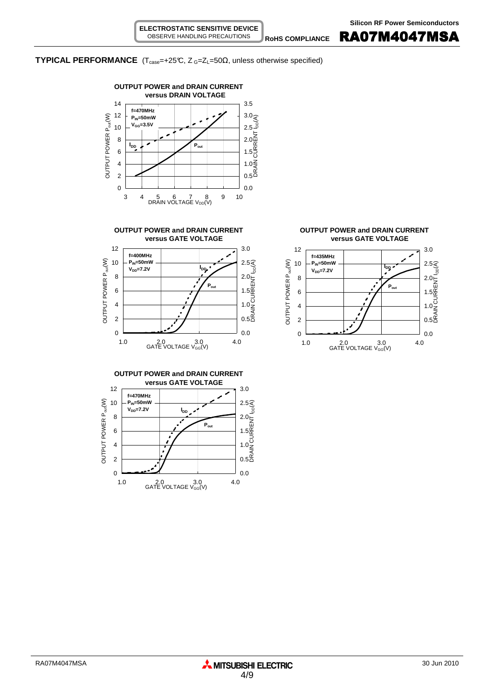R<sub>ohs compliance</sub> RA07M4047MSA

# **TYPICAL PERFORMANCE** ( $T_{case} = +25^\circ$ C,  $Z_{G} = Z_{L} = 50\Omega$ , unless otherwise specified)











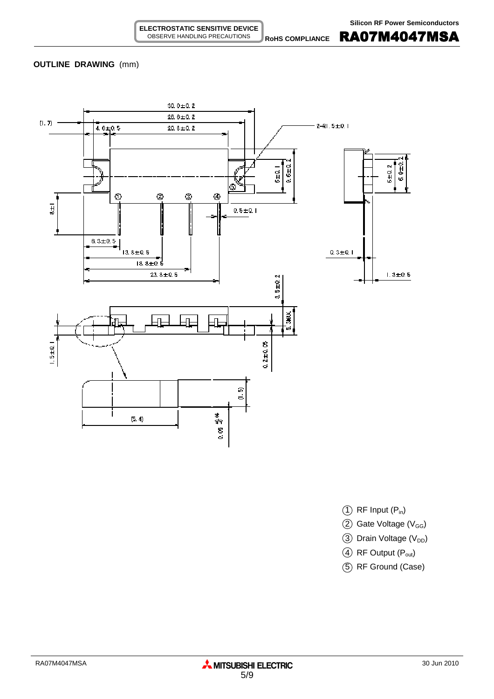**RoHS COMPLIANCE** RA07M4047MSA

## **OUTLINE DRAWING** (mm)



- $(1)$  RF Input  $(P_{in})$
- $(2)$  Gate Voltage (V<sub>GG</sub>)
- 3 Drain Voltage (V<sub>DD</sub>)
- 4 RF Output (P<sub>out</sub>)
- 5 RF Ground (Case)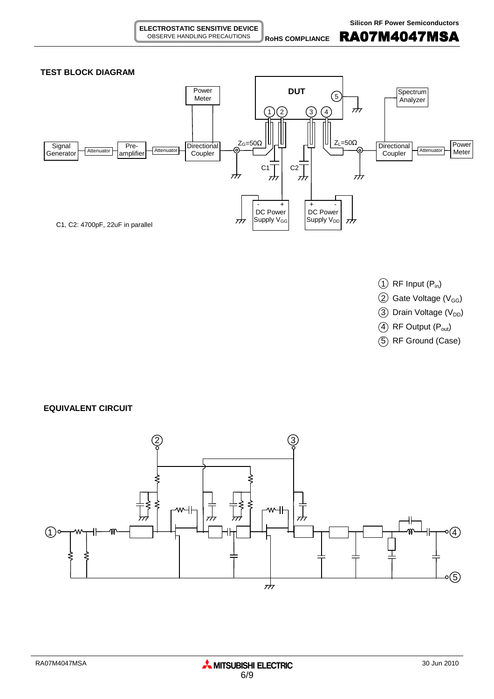**ROHS COMPLIANCE** RA07M4047MSA



- $(1)$  RF Input  $(P_{in})$
- $(2)$  Gate Voltage (V<sub>GG</sub>)
- $(3)$  Drain Voltage (V<sub>DD</sub>)
- $(4)$  RF Output  $(P_{out})$
- 5 RF Ground (Case)

**EQUIVALENT CIRCUIT**

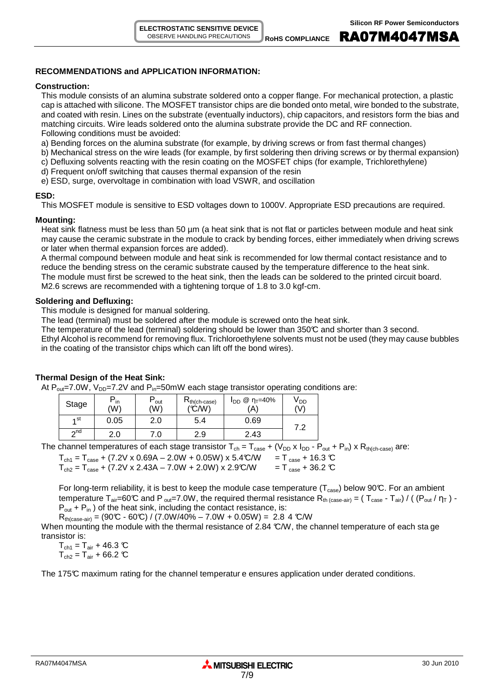# **RECOMMENDATIONS and APPLICATION INFORMATION:**

## **Construction:**

This module consists of an alumina substrate soldered onto a copper flange. For mechanical protection, a plastic cap is attached with silicone. The MOSFET transistor chips are die bonded onto metal, wire bonded to the substrate, and coated with resin. Lines on the substrate (eventually inductors), chip capacitors, and resistors form the bias and matching circuits. Wire leads soldered onto the alumina substrate provide the DC and RF connection. Following conditions must be avoided:

a) Bending forces on the alumina substrate (for example, by driving screws or from fast thermal changes)

- b) Mechanical stress on the wire leads (for example, by first soldering then driving screws or by thermal expansion)
- c) Defluxing solvents reacting with the resin coating on the MOSFET chips (for example, Trichlorethylene)
- d) Frequent on/off switching that causes thermal expansion of the resin
- e) ESD, surge, overvoltage in combination with load VSWR, and oscillation

## **ESD:**

This MOSFET module is sensitive to ESD voltages down to 1000V. Appropriate ESD precautions are required.

## **Mounting:**

Heat sink flatness must be less than 50  $\mu$ m (a heat sink that is not flat or particles between module and heat sink may cause the ceramic substrate in the module to crack by bending forces, either immediately when driving screws or later when thermal expansion forces are added).

A thermal compound between module and heat sink is recommended for low thermal contact resistance and to reduce the bending stress on the ceramic substrate caused by the temperature difference to the heat sink. The module must first be screwed to the heat sink, then the leads can be soldered to the printed circuit board. M2.6 screws are recommended with a tightening torque of 1.8 to 3.0 kgf-cm.

## **Soldering and Defluxing:**

This module is designed for manual soldering.

The lead (terminal) must be soldered after the module is screwed onto the heat sink.

The temperature of the lead (terminal) soldering should be lower than 350°C and shorter than 3 second.

Ethyl Alcohol is recommend for removing flux. Trichloroethylene solvents must not be used (they may cause bubbles in the coating of the transistor chips which can lift off the bond wires).

# **Thermal Design of the Heat Sink:**

At  $P_{out}$ =7.0W,  $V_{DD}$ =7.2V and  $P_{in}$ =50mW each stage transistor operating conditions are:

| Stage     | $P_{in}$<br>'W) | out<br>(W) | $R_{th(ch-case)}$<br>(C/W) | $I_{DD}$ @ η <sub>τ</sub> =40%<br>'A) | V DD<br>(V)  |
|-----------|-----------------|------------|----------------------------|---------------------------------------|--------------|
| ⊿ st      | 0.05            | 2.0        | 5.4                        | 0.69                                  | ר ד          |
| $\sim$ nd | 2.0             | 7.0        | 2.9                        | 2.43<br>⌒                             | . <u>. .</u> |

The channel temperatures of each stage transistor  $T_{ch} = T_{case} + (V_{DD} \times I_{DD} - P_{out} + P_{in}) \times R_{th(ch-case)}$  are:

 $T_{ch1} = T_{case} + (7.2V \times 0.69A - 2.0W + 0.05W) \times 5.4°C/W = T_{case} + 16.3°C$ <br>  $T_{ch2} = T_{case} + (7.2V \times 2.43A - 7.0W + 2.0W) \times 2.9°C/W = T_{case} + 36.2°C$ 

 $T_{ch2} = T_{case} + (7.2V \times 2.43A - 7.0W + 2.0W) \times 2.9C/W$ 

For long-term reliability, it is best to keep the module case temperature ( $T_{case}$ ) below 90°C. For an ambient temperature T<sub>air</sub>=60°C and P <sub>out</sub>=7.0W, the required thermal resistance R<sub>th (case-air)</sub> = (T<sub>case</sub> - T<sub>air</sub>) / ((P<sub>out</sub> /  $\eta_T$ ) - $P_{out}$  +  $P_{in}$ ) of the heat sink, including the contact resistance, is:

 $R_{th(case-air)} = (90\text{°C} - 60\text{°C}) / (7.0W/40\% - 7.0W + 0.05W) = 2.84 \text{°C/W}$ 

When mounting the module with the thermal resistance of 2.84 °C/W, the channel temperature of each sta ge transistor is:

 $T_{\text{ch1}} = T_{\text{air}} + 46.3 \text{ C}$  $T_{ch2} = T_{air} + 66.2 \text{ C}$ 

The 175°C maximum rating for the channel temperatur e ensures application under derated conditions.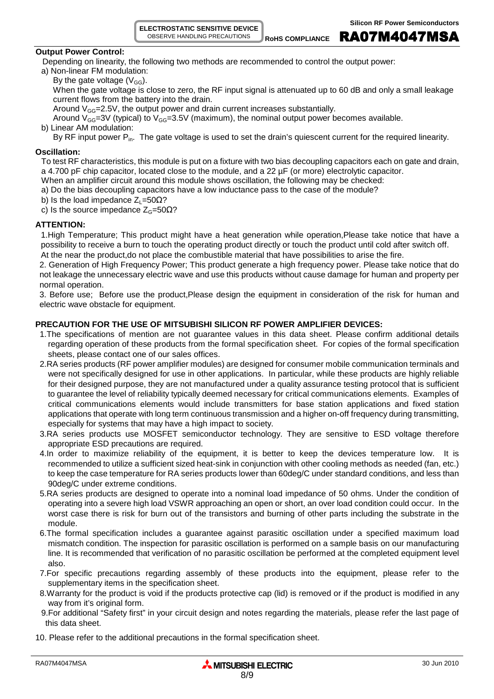**ELECTROSTATIC SENSITIVE DEVICE** OBSERVE HANDLING PRECAUTIONS

Rohs compliance **RA07M4047MSA** 

## **Output Power Control:**

Depending on linearity, the following two methods are recommended to control the output power:

- a) Non-linear FM modulation:
	- By the gate voltage  $(V_{GG})$ .

When the gate voltage is close to zero, the RF input signal is attenuated up to 60 dB and only a small leakage current flows from the battery into the drain.

Around  $V_{GG}$ =2.5V, the output power and drain current increases substantially.

Around  $V_{GG}=3V$  (typical) to  $V_{GG}=3.5V$  (maximum), the nominal output power becomes available.

b) Linear AM modulation:

By RF input power  $P_{in}$ . The gate voltage is used to set the drain's quiescent current for the required linearity.

# **Oscillation:**

To test RF characteristics, this module is put on a fixture with two bias decoupling capacitors each on gate and drain, a 4.700 pF chip capacitor, located close to the module, and a 22 µF (or more) electrolytic capacitor.

When an amplifier circuit around this module shows oscillation, the following may be checked:

- a) Do the bias decoupling capacitors have a low inductance pass to the case of the module?
- b) Is the load impedance  $Z_1$ =50 $\Omega$ ?
- c) Is the source impedance  $Z<sub>G</sub>=50 $\Omega$ ?$

# **ATTENTION:**

1.High Temperature; This product might have a heat generation while operation,Please take notice that have a possibility to receive a burn to touch the operating product directly or touch the product until cold after switch off. At the near the product,do not place the combustible material that have possibilities to arise the fire.

2. Generation of High Frequency Power; This product generate a high frequency power. Please take notice that do not leakage the unnecessary electric wave and use this products without cause damage for human and property per normal operation.

3. Before use; Before use the product,Please design the equipment in consideration of the risk for human and electric wave obstacle for equipment.

# **PRECAUTION FOR THE USE OF MITSUBISHI SILICON RF POWER AMPLIFIER DEVICES:**

- 1.The specifications of mention are not guarantee values in this data sheet. Please confirm additional details regarding operation of these products from the formal specification sheet. For copies of the formal specification sheets, please contact one of our sales offices.
- 2.RA series products (RF power amplifier modules) are designed for consumer mobile communication terminals and were not specifically designed for use in other applications. In particular, while these products are highly reliable for their designed purpose, they are not manufactured under a quality assurance testing protocol that is sufficient to guarantee the level of reliability typically deemed necessary for critical communications elements. Examples of critical communications elements would include transmitters for base station applications and fixed station applications that operate with long term continuous transmission and a higher on-off frequency during transmitting, especially for systems that may have a high impact to society.
- 3.RA series products use MOSFET semiconductor technology. They are sensitive to ESD voltage therefore appropriate ESD precautions are required.
- 4.In order to maximize reliability of the equipment, it is better to keep the devices temperature low. It is recommended to utilize a sufficient sized heat-sink in conjunction with other cooling methods as needed (fan, etc.) to keep the case temperature for RA series products lower than 60deg/C under standard conditions, and less than 90deg/C under extreme conditions.
- 5.RA series products are designed to operate into a nominal load impedance of 50 ohms. Under the condition of operating into a severe high load VSWR approaching an open or short, an over load condition could occur. In the worst case there is risk for burn out of the transistors and burning of other parts including the substrate in the module.
- 6.The formal specification includes a guarantee against parasitic oscillation under a specified maximum load mismatch condition. The inspection for parasitic oscillation is performed on a sample basis on our manufacturing line. It is recommended that verification of no parasitic oscillation be performed at the completed equipment level also.
- 7.For specific precautions regarding assembly of these products into the equipment, please refer to the supplementary items in the specification sheet.
- 8.Warranty for the product is void if the products protective cap (lid) is removed or if the product is modified in any way from it's original form.
- 9.For additional "Safety first" in your circuit design and notes regarding the materials, please refer the last page of this data sheet.
- 10. Please refer to the additional precautions in the formal specification sheet.